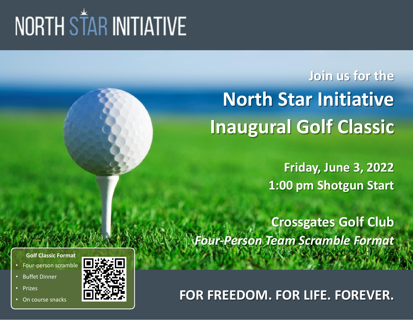# NORTH STAR INITIATIVE

# **Join us for the North Star Initiative Inaugural Golf Classic**

**Friday, June 3, 2022 1:00 pm Shotgun Start**

**Crossgates Golf Club** *Four-Person Team Scramble Format*

**FOR FREEDOM. FOR LIFE. FOREVER.**

**Golf Classic Format**

- Four-person scramble
- Buffet Dinner
- Prizes
- On course snacks